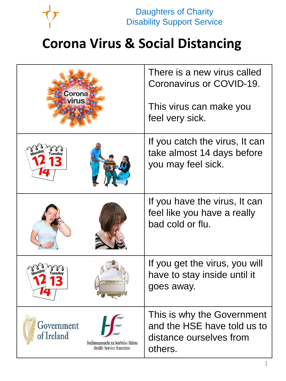

Daughters of Charity **Daughters of Charity Disability Support Service** 

## **Corona Virus & Social Distancing**

| Corona<br>irus                                                                                     | There is a new virus called<br>Coronavirus or COVID-19.<br>This virus can make you<br>feel very sick. |
|----------------------------------------------------------------------------------------------------|-------------------------------------------------------------------------------------------------------|
|                                                                                                    | If you catch the virus, It can<br>take almost 14 days before<br>you may feel sick.                    |
|                                                                                                    | If you have the virus, It can<br>feel like you have a really<br>bad cold or flu.                      |
|                                                                                                    | If you get the virus, you will<br>have to stay inside until it<br>goes away.                          |
| Government<br>of Ireland<br>Feidhmeannacht na Seirbhíse Sláinte<br><b>Health Service Executive</b> | This is why the Government<br>and the HSE have told us to<br>distance ourselves from<br>others.       |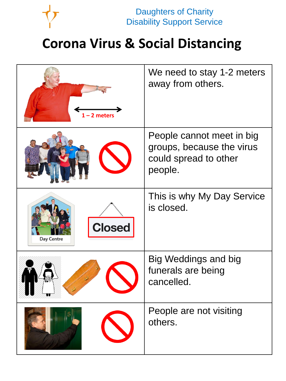

Daughters of Charity **Daughters of Charity Disability Support Service** 

## **Corona Virus & Social Distancing**

| $-2$ meters                        | We need to stay 1-2 meters<br>away from others.                                            |
|------------------------------------|--------------------------------------------------------------------------------------------|
|                                    | People cannot meet in big<br>groups, because the virus<br>could spread to other<br>people. |
| <b>Closed</b><br><b>Day Centre</b> | This is why My Day Service<br>is closed.                                                   |
|                                    | <b>Big Weddings and big</b><br>funerals are being<br>cancelled.                            |
|                                    | People are not visiting<br>others.                                                         |